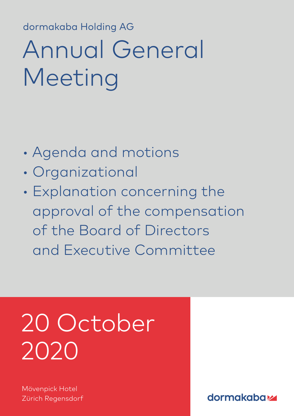dormakaba Holding AG dormakaba Holding AG

# Annual General Meeting

- Agenda and motions
- Organizational
- Explanation concerning the approval of the compensation of the Board of Directors and Executive Committee

# 20 October 2020

Mövenpick Hotel Zürich Regensdorf

dormakabatz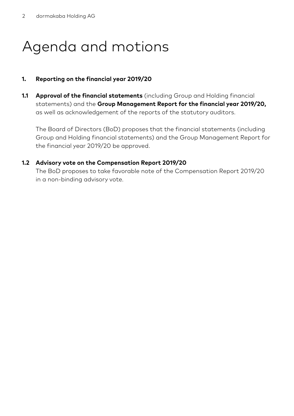# Agenda and motions

# **1. Reporting on the financial year 2019/20**

**1.1 Approval of the financial statements** (including Group and Holding financial statements) and the **Group Management Report for the financial year 2019/20,** as well as acknowledgement of the reports of the statutory auditors.

The Board of Directors (BoD) proposes that the financial statements (including Group and Holding financial statements) and the Group Management Report for the financial year 2019/20 be approved.

#### **1.2 Advisory vote on the Compensation Report 2019/20**

The BoD proposes to take favorable note of the Compensation Report 2019/20 in a non-binding advisory vote.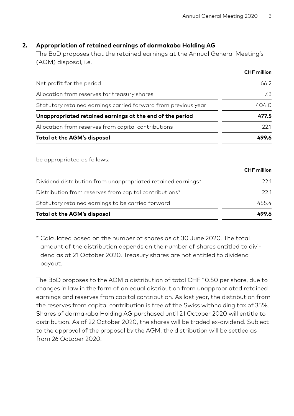#### **2. Appropriation of retained earnings of dormakaba Holding AG**

The BoD proposes that the retained earnings at the Annual General Meeting's (AGM) disposal, i.e.

|                                                                | <b>CHF</b> million |
|----------------------------------------------------------------|--------------------|
| Net profit for the period                                      | 66.2               |
| Allocation from reserves for treasury shares                   | 73                 |
| Statutory retained earnings carried forward from previous year | 404.0              |
| Unappropriated retained earnings at the end of the period      | 477.5              |
| Allocation from reserves from capital contributions            | 221                |
| Total at the AGM's disposal                                    | 499.6              |

be appropriated as follows:

|                                                              | <b>CHF</b> million |
|--------------------------------------------------------------|--------------------|
| Dividend distribution from unappropriated retained earnings* | 221                |
| Distribution from reserves from capital contributions*       | 221                |
| Statutory retained earnings to be carried forward            | 4554               |
| Total at the AGM's disposal                                  | 499.6              |

\* Calculated based on the number of shares as at 30 June 2020. The total amount of the distribution depends on the number of shares entitled to dividend as at 21 October 2020. Treasury shares are not entitled to dividend payout.

The BoD proposes to the AGM a distribution of total CHF 10.50 per share, due to changes in law in the form of an equal distribution from unappropriated retained earnings and reserves from capital contribution. As last year, the distribution from the reserves from capital contribution is free of the Swiss withholding tax of 35%. Shares of dormakaba Holding AG purchased until 21 October 2020 will entitle to distribution. As of 22 October 2020, the shares will be traded ex-dividend. Subject to the approval of the proposal by the AGM, the distribution will be settled as from 26 October 2020.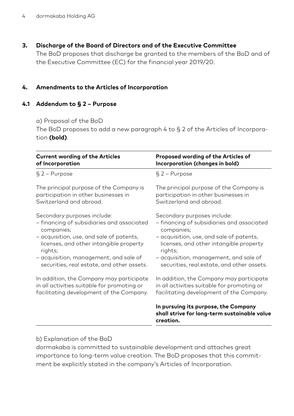# **3. Discharge of the Board of Directors and of the Executive Committee**

The BoD proposes that discharge be granted to the members of the BoD and of the Executive Committee (EC) for the financial year 2019/20.

## **4. Amendments to the Articles of Incorporation**

## **4.1 Addendum to § 2 – Purpose**

a) Proposal of the BoD

 The BoD proposes to add a new paragraph 4 to § 2 of the Articles of Incorporation **(bold)**.

| <b>Current wording of the Articles</b>      | Proposed wording of the Articles of                                                               |
|---------------------------------------------|---------------------------------------------------------------------------------------------------|
| of Incorporation                            | Incorporation (changes in bold)                                                                   |
| $§$ 2 – Purpose                             | $§$ 2 - Purpose                                                                                   |
| The principal purpose of the Company is     | The principal purpose of the Company is                                                           |
| participation in other businesses in        | participation in other businesses in                                                              |
| Switzerland and abroad.                     | Switzerland and abroad.                                                                           |
| Secondary purposes include:                 | Secondary purposes include:                                                                       |
| - financing of subsidiaries and associated  | - financing of subsidiaries and associated                                                        |
| companies;                                  | companies;                                                                                        |
| - acquisition, use, and sale of patents,    | - acquisition, use, and sale of patents,                                                          |
| licenses, and other intangible property     | licenses, and other intangible property                                                           |
| rights;                                     | rights;                                                                                           |
| - acquisition, management, and sale of      | - acquisition, management, and sale of                                                            |
| securities, real estate, and other assets.  | securities, real estate, and other assets.                                                        |
| In addition, the Company may participate    | In addition, the Company may participate                                                          |
| in all activities suitable for promoting or | in all activities suitable for promoting or                                                       |
| facilitating development of the Company.    | facilitating development of the Company.                                                          |
|                                             | In pursuing its purpose, the Company<br>shall strive for long-term sustainable value<br>creation. |

#### b) Explanation of the BoD

 dormakaba is committed to sustainable development and attaches great importance to long-term value creation. The BoD proposes that this commitment be explicitly stated in the company's Articles of Incorporation.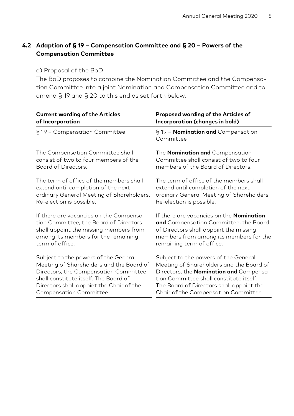# **4.2 Adaption of § 19 – Compensation Committee and § 20 – Powers of the Compensation Committee**

#### a) Proposal of the BoD

 The BoD proposes to combine the Nomination Committee and the Compensation Committee into a joint Nomination and Compensation Committee and to amend § 19 and § 20 to this end as set forth below.

| <b>Current wording of the Articles</b>    | Proposed wording of the Articles of                    |
|-------------------------------------------|--------------------------------------------------------|
| of Incorporation                          | Incorporation (changes in bold)                        |
| § 19 - Compensation Committee             | § 19 - <b>Nomination and</b> Compensation<br>Committee |
| The Compensation Committee shall          | The <b>Nomination and</b> Compensation                 |
| consist of two to four members of the     | Committee shall consist of two to four                 |
| Board of Directors.                       | members of the Board of Directors.                     |
| The term of office of the members shall   | The term of office of the members shall                |
| extend until completion of the next       | extend until completion of the next                    |
| ordinary General Meeting of Shareholders. | ordinary General Meeting of Shareholders.              |
| Re-election is possible.                  | Re-election is possible.                               |
| If there are vacancies on the Compensa-   | If there are vacancies on the <b>Nomination</b>        |
| tion Committee, the Board of Directors    | and Compensation Committee, the Board                  |
| shall appoint the missing members from    | of Directors shall appoint the missing                 |
| among its members for the remaining       | members from among its members for the                 |
| term of office.                           | remaining term of office.                              |
| Subject to the powers of the General      | Subject to the powers of the General                   |
| Meeting of Shareholders and the Board of  | Meeting of Shareholders and the Board of               |
| Directors, the Compensation Committee     | Directors, the <b>Nomination and</b> Compensa-         |
| shall constitute itself. The Board of     | tion Committee shall constitute itself.                |
| Directors shall appoint the Chair of the  | The Board of Directors shall appoint the               |
| Compensation Committee.                   | Chair of the Compensation Committee.                   |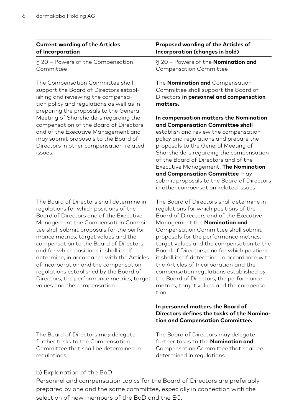#### **Current wording of the Articles of Incorporation**

§ 20 – Powers of the Compensation Committee

The Compensation Committee shall support the Board of Directors establishing and reviewing the compensation policy and regulations as well as in preparing the proposals to the General Meeting of Shareholders regarding the compensation of the Board of Directors and of the Executive Management and may submit proposals to the Board of Directors in other compensation-related issues.

The Board of Directors shall determine in regulations for which positions of the Board of Directors and of the Executive Management the Compensation Committee shall submit proposals for the performance metrics, target values and the compensation to the Board of Directors, and for which positions it shall itself determine, in accordance with the Articles of Incorporation and the compensation regulations established by the Board of Directors, the performance metrics, target values and the compensation.

The Board of Directors may delegate further tasks to the Compensation Committee that shall be determined in regulations.

#### **Proposed wording of the Articles of Incorporation (changes in bold)**

§ 20 – Powers of the **Nomination and** Compensation Committee

The **Nomination and** Compensation Committee shall support the Board of Directors **in personnel and compensation matters.**

**In compensation matters the Nomination and Compensation Committee shall** establish and review the compensation policy and regulations and prepare the proposals to the General Meeting of Shareholders regarding the compensation of the Board of Directors and of the Executive Management. **The Nomination and Compensation Committee** may submit proposals to the Board of Directors in other compensation-related issues.

The Board of Directors shall determine in regulations for which positions of the Board of Directors and of the Executive Management the **Nomination and** Compensation Committee shall submit proposals for the performance metrics, target values and the compensation to the Board of Directors, and for which positions it shall itself determine, in accordance with the Articles of Incorporation and the compensation regulations established by the Board of Directors, the performance metrics, target values and the compensation.

#### **In personnel matters the Board of Directors defines the tasks of the Nomination and Compensation Committee.**

The Board of Directors may delegate further tasks to the **Nomination and** Compensation Committee that shall be determined in regulations.

#### b) Explanation of the BoD

 Personnel and compensation topics for the Board of Directors are preferably prepared by one and the same committee, especially in connection with the selection of new members of the BoD and the EC.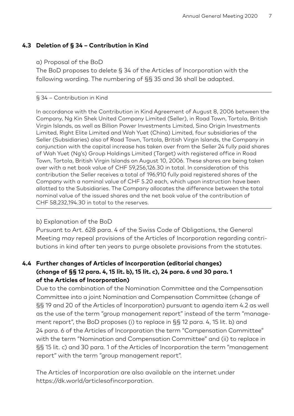# **4.3 Deletion of § 34 – Contribution in Kind**

#### a) Proposal of the BoD

 The BoD proposes to delete § 34 of the Articles of Incorporation with the following wording. The numbering of §§ 35 and 36 shall be adapted.

#### § 34 – Contribution in Kind

In accordance with the Contribution in Kind Agreement of August 8, 2006 between the Company, Ng Kin Shek United Company Limited (Seller), in Road Town, Tortola, British Virgin Islands, as well as Billion Power Investments Limited, Sino Origin Investments Limited, Right Elite Limited and Wah Yuet (China) Limited, four subsidiaries of the Seller (Subsidiaries) also of Road Town, Tortola, British Virgin Islands, the Company in conjunction with the capital increase has taken over from the Seller 24 fully paid shares of Wah Yuet (Ng's) Group Holdings Limited (Target) with registered office in Road Town, Tortola, British Virgin Islands on August 10, 2006. These shares are being taken over with a net book value of CHF 59,256,126.30 in total. In consideration of this contribution the Seller receives a total of 196,910 fully paid registered shares of the Company with a nominal value of CHF 5.20 each, which upon instruction have been allotted to the Subsidiaries. The Company allocates the difference between the total nominal value of the issued shares and the net book value of the contribution of CHF 58,232,194.30 in total to the reserves.

#### b) Explanation of the BoD

 Pursuant to Art. 628 para. 4 of the Swiss Code of Obligations, the General Meeting may repeal provisions of the Articles of Incorporation regarding contributions in kind after ten years to purge obsolete provisions from the statutes.

# **4.4 Further changes of Articles of Incorporation (editorial changes) (change of §§ 12 para. 4, 15 lit. b), 15 lit. c), 24 para. 6 und 30 para. 1 of the Articles of Incorporation)**

Due to the combination of the Nomination Committee and the Compensation Committee into a joint Nomination and Compensation Committee (change of §§ 19 and 20 of the Articles of Incorporation) pursuant to agenda item 4.2 as well as the use of the term "group management report" instead of the term "management report", the BoD proposes (i) to replace in §§ 12 para. 4, 15 lit. b) and 24 para. 6 of the Articles of Incorporation the term "Compensation Committee" with the term "Nomination and Compensation Committee" and (ii) to replace in §§ 15 lit. c) and 30 para. 1 of the Articles of Incorporation the term "management report" with the term "group management report".

 The Articles of Incorporation are also available on the internet under https://dk.world/articlesofincorporation.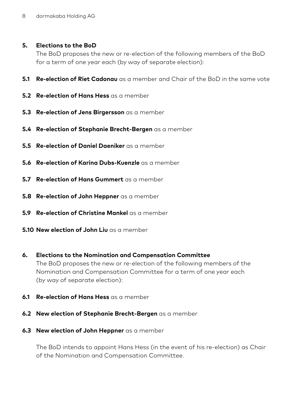#### **5. Elections to the BoD**

 The BoD proposes the new or re-election of the following members of the BoD for a term of one year each (by way of separate election):

- **5.1 Re-election of Riet Cadonau** as a member and Chair of the BoD in the same vote
- **5.2 Re-election of Hans Hess** as a member
- **5.3 Re-election of Jens Birgersson** as a member
- **5.4 Re-election of Stephanie Brecht-Bergen** as a member
- **5.5 Re-election of Daniel Daeniker** as a member
- **5.6 Re-election of Karina Dubs-Kuenzle** as a member
- **5.7 Re-election of Hans Gummert** as a member
- **5.8 Re-election of John Heppner** as a member
- **5.9 Re-election of Christine Mankel** as a member
- **5.10 New election of John Liu** as a member
- **6. Elections to the Nomination and Compensation Committee** The BoD proposes the new or re-election of the following members of the Nomination and Compensation Committee for a term of one year each (by way of separate election):
- **6.1 Re-election of Hans Hess** as a member
- **6.2 New election of Stephanie Brecht-Bergen** as a member
- **6.3 New election of John Heppner** as a member

 The BoD intends to appoint Hans Hess (in the event of his re-election) as Chair of the Nomination and Compensation Committee.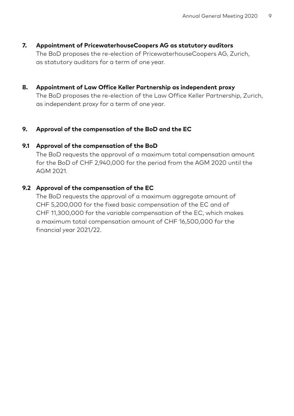- **7. Appointment of PricewaterhouseCoopers AG as statutory auditors** The BoD proposes the re-election of PricewaterhouseCoopers AG, Zurich, as statutory auditors for a term of one year.
- **8. Appointment of Law Office Keller Partnership as independent proxy**

 The BoD proposes the re-election of the Law Office Keller Partnership, Zurich, as independent proxy for a term of one year.

# **9. Approval of the compensation of the BoD and the EC**

## **9.1 Approval of the compensation of the BoD**

 The BoD requests the approval of a maximum total compensation amount for the BoD of CHF 2,940,000 for the period from the AGM 2020 until the AGM 2021.

## **9.2 Approval of the compensation of the EC**

 The BoD requests the approval of a maximum aggregate amount of CHF 5,200,000 for the fixed basic compensation of the EC and of CHF 11,300,000 for the variable compensation of the EC, which makes a maximum total compensation amount of CHF 16,500,000 for the financial year 2021/22.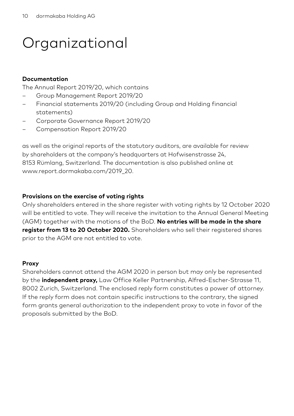# **Organizational**

#### **Documentation**

The Annual Report 2019/20, which contains

- Group Management Report 2019/20
- Financial statements 2019/20 (including Group and Holding financial statements)
- Corporate Governance Report 2019/20
- Compensation Report 2019/20

as well as the original reports of the statutory auditors, are available for review by shareholders at the company's headquarters at Hofwisenstrasse 24, 8153 Rümlang, Switzerland. The documentation is also published online at www.report.dormakaba.com/2019\_20.

#### **Provisions on the exercise of voting rights**

Only shareholders entered in the share register with voting rights by 12 October 2020 will be entitled to vote. They will receive the invitation to the Annual General Meeting (AGM) together with the motions of the BoD. **No entries will be made in the share register from 13 to 20 October 2020.** Shareholders who sell their registered shares prior to the AGM are not entitled to vote.

#### **Proxy**

Shareholders cannot attend the AGM 2020 in person but may only be represented by the **independent proxy,** Law Office Keller Partnership, Alfred-Escher-Strasse 11, 8002 Zurich, Switzerland. The enclosed reply form constitutes a power of attorney. If the reply form does not contain specific instructions to the contrary, the signed form grants general authorization to the independent proxy to vote in favor of the proposals submitted by the BoD.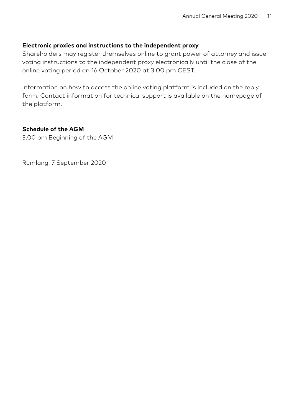#### **Electronic proxies and instructions to the independent proxy**

Shareholders may register themselves online to grant power of attorney and issue voting instructions to the independent proxy electronically until the close of the online voting period on 16 October 2020 at 3.00 pm CEST.

Information on how to access the online voting platform is included on the reply form. Contact information for technical support is available on the homepage of the platform.

### **Schedule of the AGM**

3.00 pm Beginning of the AGM

Rümlang, 7 September 2020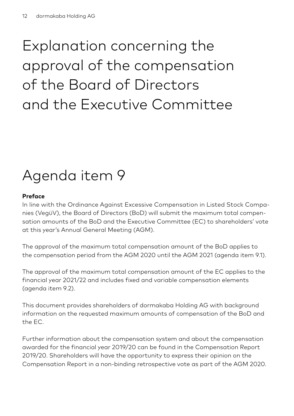# Explanation concerning the approval of the compensation of the Board of Directors and the Executive Committee

# Agenda item 9

# **Preface**

In line with the Ordinance Against Excessive Compensation in Listed Stock Companies (VegüV), the Board of Directors (BoD) will submit the maximum total compensation amounts of the BoD and the Executive Committee (EC) to shareholders' vote at this year's Annual General Meeting (AGM).

The approval of the maximum total compensation amount of the BoD applies to the compensation period from the AGM 2020 until the AGM 2021 (agenda item 9.1).

The approval of the maximum total compensation amount of the EC applies to the financial year 2021/22 and includes fixed and variable compensation elements (agenda item 9.2).

This document provides shareholders of dormakaba Holding AG with background information on the requested maximum amounts of compensation of the BoD and the EC.

Further information about the compensation system and about the compensation awarded for the financial year 2019/20 can be found in the Compensation Report 2019/20. Shareholders will have the opportunity to express their opinion on the Compensation Report in a non-binding retrospective vote as part of the AGM 2020.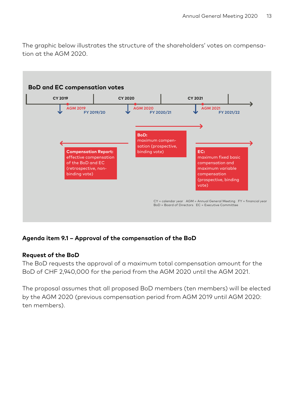The graphic below illustrates the structure of the shareholders' votes on compensation at the AGM 2020.



# **Agenda item 9.1 – Approval of the compensation of the BoD**

#### **Request of the BoD**

The BoD requests the approval of a maximum total compensation amount for the BoD of CHF 2,940,000 for the period from the AGM 2020 until the AGM 2021.

The proposal assumes that all proposed BoD members (ten members) will be elected by the AGM 2020 (previous compensation period from AGM 2019 until AGM 2020: ten members).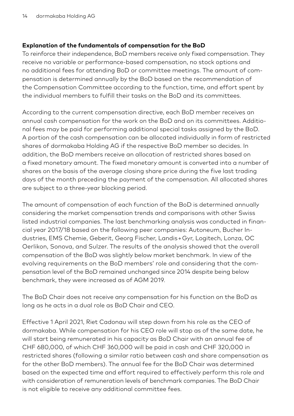## **Explanation of the fundamentals of compensation for the BoD**

To reinforce their independence, BoD members receive only fixed compensation. They receive no variable or performance-based compensation, no stock options and no additional fees for attending BoD or committee meetings. The amount of compensation is determined annually by the BoD based on the recommendation of the Compensation Committee according to the function, time, and effort spent by the individual members to fulfill their tasks on the BoD and its committees.

According to the current compensation directive, each BoD member receives an annual cash compensation for the work on the BoD and on its committees. Additional fees may be paid for performing additional special tasks assigned by the BoD. A portion of the cash compensation can be allocated individually in form of restricted shares of dormakaba Holding AG if the respective BoD member so decides. In addition, the BoD members receive an allocation of restricted shares based on a fixed monetary amount. The fixed monetary amount is converted into a number of shares on the basis of the average closing share price during the five last trading days of the month preceding the payment of the compensation. All allocated shares are subject to a three-year blocking period.

The amount of compensation of each function of the BoD is determined annually considering the market compensation trends and comparisons with other Swiss listed industrial companies. The last benchmarking analysis was conducted in financial year 2017/18 based on the following peer companies: Autoneum, Bucher Industries, EMS Chemie, Geberit, Georg Fischer, Landis + Gyr, Logitech, Lonza, OC Oerlikon, Sonova, and Sulzer. The results of the analysis showed that the overall compensation of the BoD was slightly below market benchmark. In view of the evolving requirements on the BoD members' role and considering that the compensation level of the BoD remained unchanged since 2014 despite being below benchmark, they were increased as of AGM 2019.

The BoD Chair does not receive any compensation for his function on the BoD as long as he acts in a dual role as BoD Chair and CEO.

Effective 1 April 2021, Riet Cadonau will step down from his role as the CEO of dormakaba. While compensation for his CEO role will stop as of the same date, he will start being remunerated in his capacity as BoD Chair with an annual fee of CHF 680,000, of which CHF 360,000 will be paid in cash and CHF 320,000 in restricted shares (following a similar ratio between cash and share compensation as for the other BoD members). The annual fee for the BoD Chair was determined based on the expected time and effort required to effectively perform this role and with consideration of remuneration levels of benchmark companies. The BoD Chair is not eligible to receive any additional committee fees.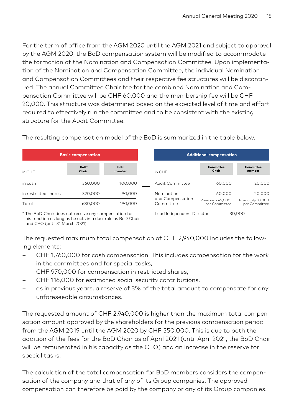For the term of office from the AGM 2020 until the AGM 2021 and subject to approval by the AGM 2020, the BoD compensation system will be modified to accommodate the formation of the Nomination and Compensation Committee. Upon implementation of the Nomination and Compensation Committee, the individual Nomination and Compensation Committees and their respective fee structures will be discontinued. The annual Committee Chair fee for the combined Nomination and Compensation Committee will be CHF 60,000 and the membership fee will be CHF 20,000. This structure was determined based on the expected level of time and effort required to effectively run the committee and to be consistent with the existing structure for the Audit Committee.

**Basic compensation** in CHF **BoD\* Chair BoD member** in cash 360,000 100,000 in restricted shares 320,000 90,000 Total 680,000 190,000 **Additional compensation** in CHF **Committee Chair Committee member** Audit Committee 60,000 20,000 Nomination 60,000 20,000 and Compensation Committee Lead Independent Director 30,000 Previously 45,000 per Committee Previously 10,000 per Committee

\* The BoD Chair does not receive any compensation for his function as long as he acts in a dual role as BoD Chair and CEO (until 31 March 2021).

The requested maximum total compensation of CHF 2,940,000 includes the following elements:

- CHF 1,760,000 for cash compensation. This includes compensation for the work in the committees and for special tasks,
- CHF 970,000 for compensation in restricted shares,
- CHF 116,000 for estimated social security contributions,
- as in previous years, a reserve of 3% of the total amount to compensate for any unforeseeable circumstances.

The requested amount of CHF 2,940,000 is higher than the maximum total compensation amount approved by the shareholders for the previous compensation period from the AGM 2019 until the AGM 2020 by CHF 550,000. This is due to both the addition of the fees for the BoD Chair as of April 2021 (until April 2021, the BoD Chair will be remunerated in his capacity as the CEO) and an increase in the reserve for special tasks.

The calculation of the total compensation for BoD members considers the compensation of the company and that of any of its Group companies. The approved compensation can therefore be paid by the company or any of its Group companies.

The resulting compensation model of the BoD is summarized in the table below.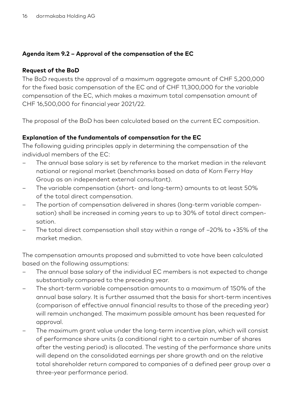# **Agenda item 9.2 – Approval of the compensation of the EC**

# **Request of the BoD**

The BoD requests the approval of a maximum aggregate amount of CHF 5,200,000 for the fixed basic compensation of the EC and of CHF 11,300,000 for the variable compensation of the EC, which makes a maximum total compensation amount of CHF 16,500,000 for financial year 2021/22.

The proposal of the BoD has been calculated based on the current EC composition.

# **Explanation of the fundamentals of compensation for the EC**

The following guiding principles apply in determining the compensation of the individual members of the EC:

- The annual base salary is set by reference to the market median in the relevant national or regional market (benchmarks based on data of Korn Ferry Hay Group as an independent external consultant).
- The variable compensation (short- and long-term) amounts to at least 50% of the total direct compensation.
- The portion of compensation delivered in shares (long-term variable compensation) shall be increased in coming years to up to 30% of total direct compensation.
- The total direct compensation shall stay within a range of –20% to +35% of the market median.

The compensation amounts proposed and submitted to vote have been calculated based on the following assumptions:

- The annual base salary of the individual EC members is not expected to change substantially compared to the preceding year.
- The short-term variable compensation amounts to a maximum of 150% of the annual base salary. It is further assumed that the basis for short-term incentives (comparison of effective annual financial results to those of the preceding year) will remain unchanged. The maximum possible amount has been requested for approval.
- The maximum grant value under the long-term incentive plan, which will consist of performance share units (a conditional right to a certain number of shares after the vesting period) is allocated. The vesting of the performance share units will depend on the consolidated earnings per share growth and on the relative total shareholder return compared to companies of a defined peer group over a three-year performance period.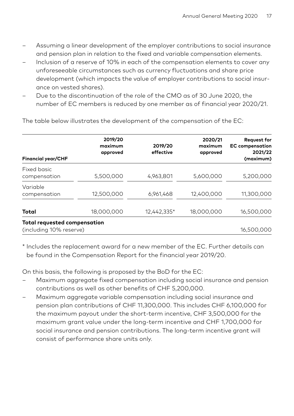- Assuming a linear development of the employer contributions to social insurance and pension plan in relation to the fixed and variable compensation elements.
- Inclusion of a reserve of 10% in each of the compensation elements to cover any unforeseeable circumstances such as currency fluctuations and share price development (which impacts the value of employer contributions to social insurance on vested shares).
- Due to the discontinuation of the role of the CMO as of 30 June 2020, the number of EC members is reduced by one member as of financial year 2020/21.

| <b>Financial year/CHF</b>                               | 2019/20<br>maximum<br>approved | 2019/20<br>effective | 2020/21<br>maximum<br>approved | <b>Request for</b><br><b>EC</b> compensation<br>2021/22<br>(maximum) |
|---------------------------------------------------------|--------------------------------|----------------------|--------------------------------|----------------------------------------------------------------------|
| Fixed basic<br>compensation                             | 5,500,000                      | 4,963,801            | 5,600,000                      | 5,200,000                                                            |
| Variable<br>compensation                                | 12,500,000                     | 6,961,468            | 12,400,000                     | 11,300,000                                                           |
| Total                                                   | 18,000,000                     | 12,442,335*          | 18,000,000                     | 16,500,000                                                           |
| Total requested compensation<br>(including 10% reserve) |                                |                      |                                | 16,500,000                                                           |

The table below illustrates the development of the compensation of the EC:

\* Includes the replacement award for a new member of the EC. Further details can be found in the Compensation Report for the financial year 2019/20.

On this basis, the following is proposed by the BoD for the EC:

- Maximum aggregate fixed compensation including social insurance and pension contributions as well as other benefits of CHF 5,200,000.
- Maximum aggregate variable compensation including social insurance and pension plan contributions of CHF 11,300,000. This includes CHF 6,100,000 for the maximum payout under the short-term incentive, CHF 3,500,000 for the maximum grant value under the long-term incentive and CHF 1,700,000 for social insurance and pension contributions. The long-term incentive grant will consist of performance share units only.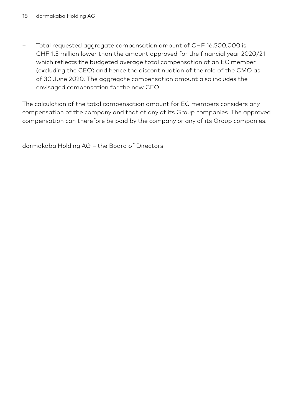– Total requested aggregate compensation amount of CHF 16,500,000 is CHF 1.5 million lower than the amount approved for the financial year 2020/21 which reflects the budgeted average total compensation of an EC member (excluding the CEO) and hence the discontinuation of the role of the CMO as of 30 June 2020. The aggregate compensation amount also includes the envisaged compensation for the new CEO.

The calculation of the total compensation amount for EC members considers any compensation of the company and that of any of its Group companies. The approved compensation can therefore be paid by the company or any of its Group companies.

dormakaba Holding AG – the Board of Directors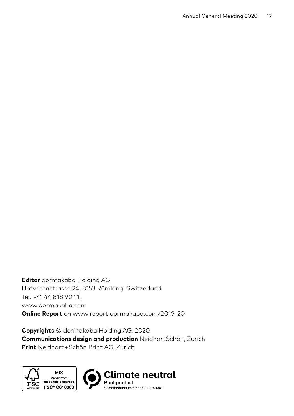**Editor** dormakaba Holding AG Hofwisenstrasse 24, 8153 Rümlang, Switzerland Tel. +41 44 818 90 11, www.dormakaba.com **Online Report** on www.report.dormakaba.com/2019\_20

**Copyrights** © dormakaba Holding AG, 2020 **Communications design and production** NeidhartSchön, Zurich **Print** Neidhart + Schön Print AG, Zurich